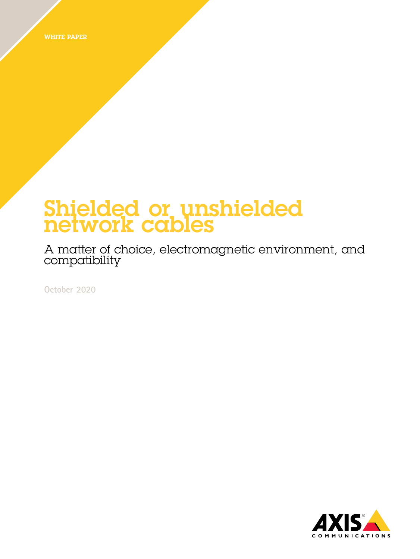WHITE PAPER

## Shielded or unshielded network cables

A matter of choice, electromagnetic environment, and compatibility

**October 2020**

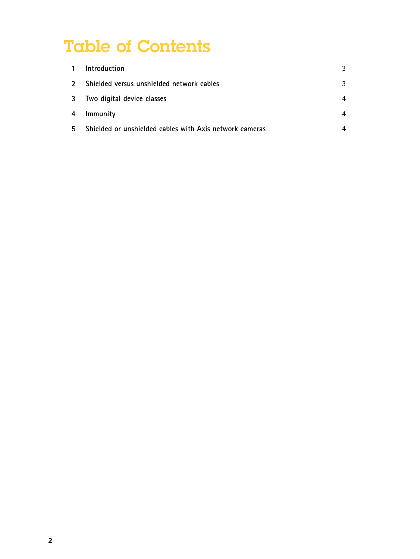# Table of Contents

| $\overline{1}$          | Introduction                                            | 3 |
|-------------------------|---------------------------------------------------------|---|
| $\mathcal{P}$           | Shielded versus unshielded network cables               | 3 |
| $\overline{\mathbf{3}}$ | Two digital device classes                              | 4 |
| 4                       | Immunity                                                | 4 |
| 5                       | Shielded or unshielded cables with Axis network cameras | 4 |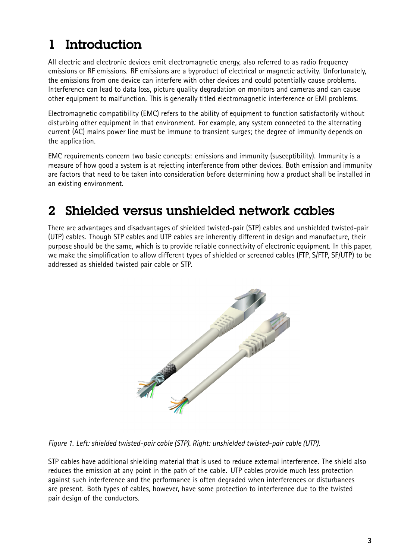### <span id="page-2-0"></span>1 Introduction

All electric and electronic devices emit electromagnetic energy, also referred to as radio frequency emissions or RF emissions. RF emissions are <sup>a</sup> byproduct of electrical or magnetic activity. Unfortunately, the emissions from one device can interfere with other devices and could potentially cause problems. Interference can lead to data loss, picture quality degradation on monitors and cameras and can cause other equipment to malfunction. This is generally titled electromagnetic interference or EMI problems.

Electromagnetic compatibility (EMC) refers to the ability of equipment to function satisfactorily without disturbing other equipment in that environment. For example, any system connected to the alternating current (AC) mains power line must be immune to transient surges; the degree of immunity depends on the application.

EMC requirements concern two basic concepts: emissions and immunity (susceptibility). Immunity is <sup>a</sup> measure of how good <sup>a</sup> system is at rejecting interference from other devices. Both emission and immunity are factors that need to be taken into consideration before determining how <sup>a</sup> product shall be installed in an existing environment.

#### 2 Shielded versus unshielded network cables

There are advantages and disadvantages of shielded twisted-pair (STP) cables and unshielded twisted-pair (UTP) cables. Though STP cables and UTP cables are inherently different in design and manufacture, their purpose should be the same, which is to provide reliable connectivity of electronic equipment. In this paper, we make the simplification to allow different types of shielded or screened cables (FTP, S/FTP, SF/UTP) to be addressed as shielded twisted pair cable or STP.



*Figure 1. Left: shielded twisted-pair cable (STP). Right: unshielded twisted-pair cable (UTP).*

STP cables have additional shielding material that is used to reduce external interference. The shield also reduces the emission at any point in the path of the cable. UTP cables provide much less protection against such interference and the performance is often degraded when interferences or disturbances are present. Both types of cables, however, have some protection to interference due to the twisted pair design of the conductors.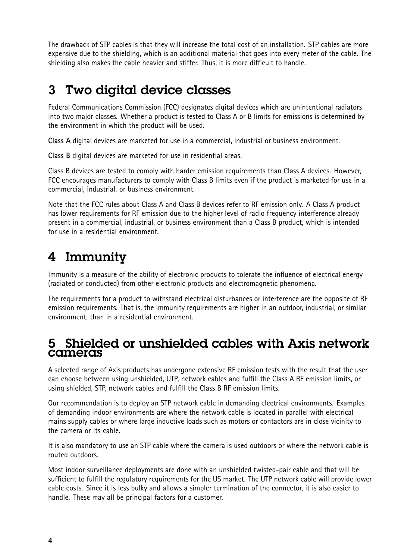<span id="page-3-0"></span>The drawback of STP cables is that they will increase the total cost of an installation. STP cables are more expensive due to the shielding, which is an additional material that goes into every meter of the cable. The shielding also makes the cable heavier and stiffer. Thus, it is more difficult to handle.

#### 3 Two digital device classes

Federal Communications Commission (FCC) designates digital devices which are unintentional radiators into two major classes. Whether <sup>a</sup> product is tested to Class A or B limits for emissions is determined by the environment in which the product will be used.

**Class A** digital devices are marketed for use in <sup>a</sup> commercial, industrial or business environment.

**Class B** digital devices are marketed for use in residential areas.

Class B devices are tested to comply with harder emission requirements than Class A devices. However, FCC encourages manufacturers to comply with Class B limits even if the product is marketed for use in <sup>a</sup> commercial, industrial, or business environment.

Note that the FCC rules about Class A and Class B devices refer to RF emission only. A Class A product has lower requirements for RF emission due to the higher level of radio frequency interference already present in <sup>a</sup> commercial, industrial, or business environment than <sup>a</sup> Class B product, which is intended for use in a residential environment.

### 4 Immunity

Immunity is <sup>a</sup> measure of the ability of electronic products to tolerate the influence of electrical energy (radiated or conducted) from other electronic products and electromagnetic phenomena.

The requirements for <sup>a</sup> product to withstand electrical disturbances or interference are the opposite of RF emission requirements. That is, the immunity requirements are higher in an outdoor, industrial, or similar environment, than in <sup>a</sup> residential environment.

#### 5 Shielded or unshielded cables with Axis network cameras

A selected range of Axis products has undergone extensive RF emission tests with the result that the user can choose between using unshielded, UTP, network cables and fulfill the Class A RF emission limits, or using shielded, STP, network cables and fulfill the Class B RF emission limits.

Our recommendation is to deploy an STP network cable in demanding electrical environments. Examples of demanding indoor environments are where the network cable is located in parallel with electrical mains supply cables or where large inductive loads such as motors or contactors are in close vicinity to the camera or its cable.

It is also mandatory to use an STP cable where the camera is used outdoors or where the network cable is routed outdoors.

Most indoor surveillance deployments are done with an unshielded twisted-pair cable and that will be sufficient to fulfill the regulatory requirements for the US market. The UTP network cable will provide lower cable costs. Since it is less bulky and allows <sup>a</sup> simpler termination of the connector, it is also easier to handle. These may all be principal factors for <sup>a</sup> customer.